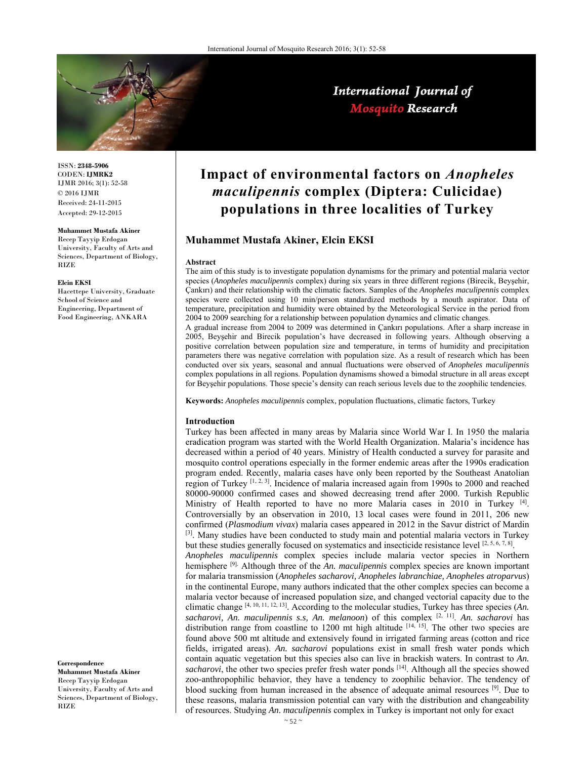

International Journal of Mosquito Research

ISSN: **2348-5906** CODEN: **IJMRK2** IJMR 2016; 3(1): 52-58 © 2016 IJMR Received: 24-11-2015 Accepted: 29-12-2015

### **Muhammet Mustafa Akiner**

Recep Tayyip Erdogan University, Faculty of Arts and Sciences, Department of Biology, RIZE

#### **Elcin EKSI**

Hacettepe University, Graduate School of Science and Engineering, Department of Food Engineering, ANKARA

**Correspondence Muhammet Mustafa Akiner**  Recep Tayyip Erdogan University, Faculty of Arts and Sciences, Department of Biology, RIZE

# **Impact of environmental factors on** *Anopheles maculipennis* **complex (Diptera: Culicidae) populations in three localities of Turkey**

# **Muhammet Mustafa Akiner, Elcin EKSI**

### **Abstract**

The aim of this study is to investigate population dynamisms for the primary and potential malaria vector species (*Anopheles maculipennis* complex) during six years in three different regions (Birecik, Beyşehir, Çankırı) and their relationship with the climatic factors. Samples of the *Anopheles maculipennis* complex species were collected using 10 min/person standardized methods by a mouth aspirator. Data of temperature, precipitation and humidity were obtained by the Meteorological Service in the period from 2004 to 2009 searching for a relationship between population dynamics and climatic changes.

A gradual increase from 2004 to 2009 was determined in Çankırı populations. After a sharp increase in 2005, Beyşehir and Birecik population's have decreased in following years. Although observing a positive correlation between population size and temperature, in terms of humidity and precipitation parameters there was negative correlation with population size. As a result of research which has been conducted over six years, seasonal and annual fluctuations were observed of *Anopheles maculipennis* complex populations in all regions. Population dynamisms showed a bimodal structure in all areas except for Beyşehir populations. Those specie's density can reach serious levels due to the zoophilic tendencies.

**Keywords:** *Anopheles maculipennis* complex, population fluctuations, climatic factors, Turkey

### **Introduction**

Turkey has been affected in many areas by Malaria since World War I. In 1950 the malaria eradication program was started with the World Health Organization. Malaria's incidence has decreased within a period of 40 years. Ministry of Health conducted a survey for parasite and mosquito control operations especially in the former endemic areas after the 1990s eradication program ended. Recently, malaria cases have only been reported by the Southeast Anatolian region of Turkey [1, 2, 3]. Incidence of malaria increased again from 1990s to 2000 and reached 80000-90000 confirmed cases and showed decreasing trend after 2000. Turkish Republic Ministry of Health reported to have no more Malaria cases in 2010 in Turkey  $[4]$ . Controversially by an observation in 2010, 13 local cases were found in 2011, 206 new confirmed (*Plasmodium vivax*) malaria cases appeared in 2012 in the Savur district of Mardin  $[3]$ . Many studies have been conducted to study main and potential malaria vectors in Turkey but these studies generally focused on systematics and insecticide resistance level [2, 5, 6, 7, 8].

*Anopheles maculipennis* complex species include malaria vector species in Northern hemisphere [9]. Although three of the *An. maculipennis* complex species are known important for malaria transmission (*Anopheles sacharovi, Anopheles labranchiae, Anopheles atroparvus*) in the continental Europe, many authors indicated that the other complex species can become a malaria vector because of increased population size, and changed vectorial capacity due to the climatic change [4, 10, 11, 12, 13]. According to the molecular studies, Turkey has three species (*An.*  sacharovi, An. maculipennis s.s, An. melanoon) of this complex <sup>[2, 11]</sup>. An. sacharovi has distribution range from coastline to 1200 mt high altitude  $[14, 15]$ . The other two species are found above 500 mt altitude and extensively found in irrigated farming areas (cotton and rice fields, irrigated areas). *An. sacharovi* populations exist in small fresh water ponds which contain aquatic vegetation but this species also can live in brackish waters. In contrast to *An.*  sacharovi, the other two species prefer fresh water ponds [14]. Although all the species showed zoo-anthropophilic behavior, they have a tendency to zoophilic behavior. The tendency of blood sucking from human increased in the absence of adequate animal resources [9]. Due to these reasons, malaria transmission potential can vary with the distribution and changeability of resources. Studying *An. maculipennis* complex in Turkey is important not only for exact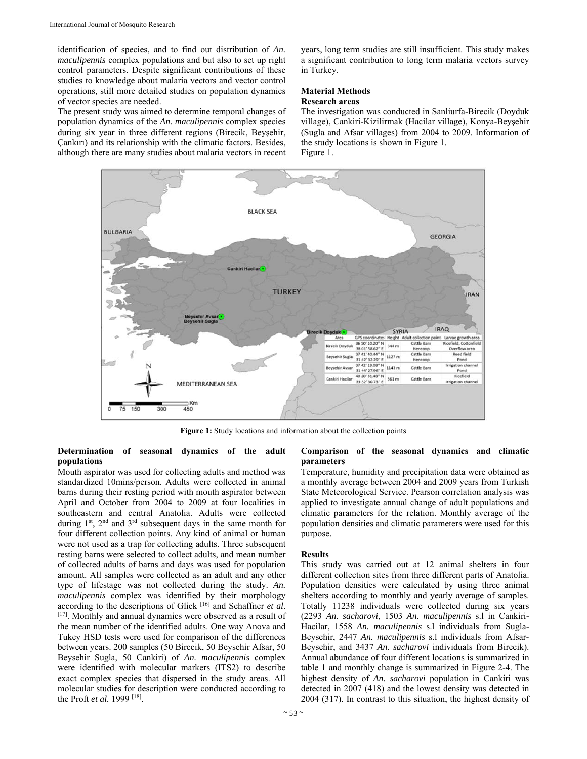identification of species, and to find out distribution of *An. maculipennis* complex populations and but also to set up right control parameters. Despite significant contributions of these studies to knowledge about malaria vectors and vector control operations, still more detailed studies on population dynamics of vector species are needed.

The present study was aimed to determine temporal changes of population dynamics of the *An. maculipennis* complex species during six year in three different regions (Birecik, Beyşehir, Çankırı) and its relationship with the climatic factors. Besides, although there are many studies about malaria vectors in recent years, long term studies are still insufficient. This study makes a significant contribution to long term malaria vectors survey in Turkey.

# **Material Methods**

# **Research areas**

The investigation was conducted in Sanliurfa-Birecik (Doyduk village), Cankiri-Kizilirmak (Hacilar village), Konya-Beyşehir (Sugla and Afsar villages) from 2004 to 2009. Information of the study locations is shown in Figure 1. Figure 1.



**Figure 1:** Study locations and information about the collection points

# **Determination of seasonal dynamics of the adult populations**

Mouth aspirator was used for collecting adults and method was standardized 10mins/person. Adults were collected in animal barns during their resting period with mouth aspirator between April and October from 2004 to 2009 at four localities in southeastern and central Anatolia. Adults were collected during 1<sup>st</sup>, 2<sup>nd</sup> and 3<sup>rd</sup> subsequent days in the same month for four different collection points. Any kind of animal or human were not used as a trap for collecting adults. Three subsequent resting barns were selected to collect adults, and mean number of collected adults of barns and days was used for population amount. All samples were collected as an adult and any other type of lifestage was not collected during the study. *An. maculipennis* complex was identified by their morphology according to the descriptions of Glick<sup>[16]</sup> and Schaffner et al. <sup>[17]</sup>. Monthly and annual dynamics were observed as a result of the mean number of the identified adults. One way Anova and Tukey HSD tests were used for comparison of the differences between years. 200 samples (50 Birecik, 50 Beysehir Afsar, 50 Beysehir Sugla, 50 Cankiri) of *An. maculipennis* complex were identified with molecular markers (ITS2) to describe exact complex species that dispersed in the study areas. All molecular studies for description were conducted according to the Proft *et al.* 1999 [18].

### **Comparison of the seasonal dynamics and climatic parameters**

Temperature, humidity and precipitation data were obtained as a monthly average between 2004 and 2009 years from Turkish State Meteorological Service. Pearson correlation analysis was applied to investigate annual change of adult populations and climatic parameters for the relation. Monthly average of the population densities and climatic parameters were used for this purpose.

# **Results**

This study was carried out at 12 animal shelters in four different collection sites from three different parts of Anatolia. Population densities were calculated by using three animal shelters according to monthly and yearly average of samples. Totally 11238 individuals were collected during six years (2293 *An. sacharovi*, 1503 *An. maculipennis* s.l in Cankiri-Hacilar, 1558 *An. maculipennis* s.l individuals from Sugla-Beysehir, 2447 *An. maculipennis* s.l individuals from Afsar-Beysehir, and 3437 *An. sacharovi* individuals from Birecik). Annual abundance of four different locations is summarized in table 1 and monthly change is summarized in Figure 2-4. The highest density of *An. sacharovi* population in Cankiri was detected in 2007 (418) and the lowest density was detected in 2004 (317). In contrast to this situation, the highest density of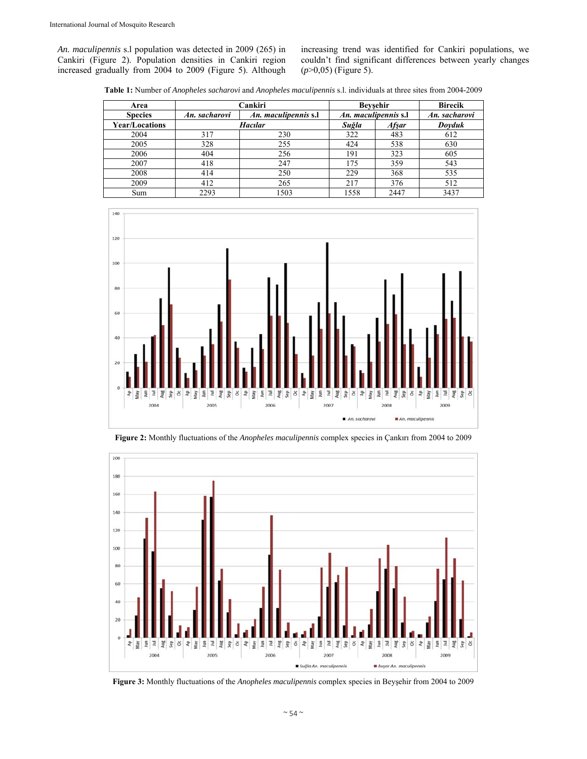*An. maculipennis* s.l population was detected in 2009 (265) in Cankiri (Figure 2). Population densities in Cankiri region increased gradually from 2004 to 2009 (Figure 5). Although increasing trend was identified for Cankiri populations, we couldn't find significant differences between yearly changes (*p*>0,05) (Figure 5).

**Table 1:** Number of *Anopheles sacharovi* and *Anopheles maculipennis* s.l. individuals at three sites from 2004-2009

| Area                  | Cankiri                               |      |       | <b>Beysehir</b>      | <b>Birecik</b> |
|-----------------------|---------------------------------------|------|-------|----------------------|----------------|
| <b>Species</b>        | An. maculipennis s.l<br>An. sacharovi |      |       | An. maculipennis s.l | An. sacharovi  |
| <b>Year/Locations</b> | <b>Hacılar</b>                        |      | Suğla | <b>Afşar</b>         | Doyduk         |
| 2004                  | 317                                   | 230  | 322   | 483                  | 612            |
| 2005                  | 328                                   | 255  | 424   | 538                  | 630            |
| 2006                  | 404                                   | 256  | 191   | 323                  | 605            |
| 2007                  | 418                                   | 247  | 175   | 359                  | 543            |
| 2008                  | 414                                   | 250  | 229   | 368                  | 535            |
| 2009                  | 412                                   | 265  | 217   | 376                  | 512            |
| Sum                   | 2293                                  | 1503 | 1558  | 2447                 | 3437           |



**Figure 2:** Monthly fluctuations of the *Anopheles maculipennis* complex species in Çankırı from 2004 to 2009



**Figure 3:** Monthly fluctuations of the *Anopheles maculipennis* complex species in Beyşehir from 2004 to 2009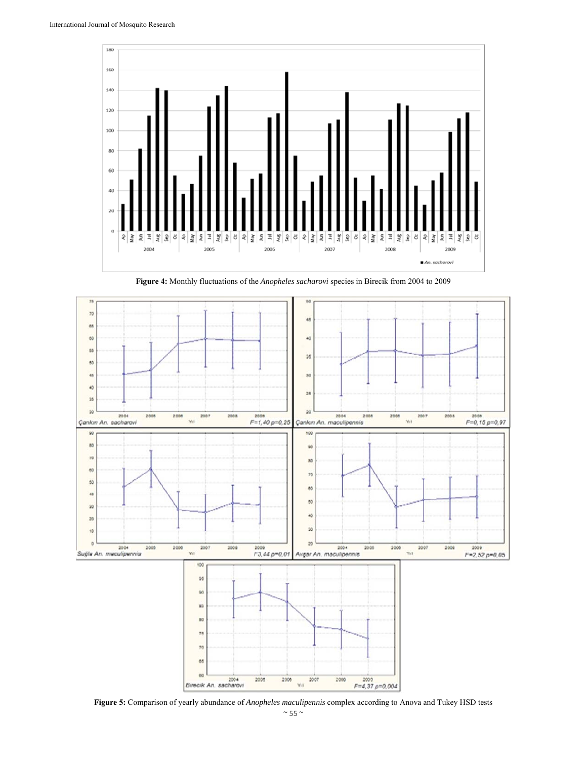

**Figure 4:** Monthly fluctuations of the *Anopheles sacharovi* species in Birecik from 2004 to 2009



**Figure 5:** Comparison of yearly abundance of *Anopheles maculipennis* complex according to Anova and Tukey HSD tests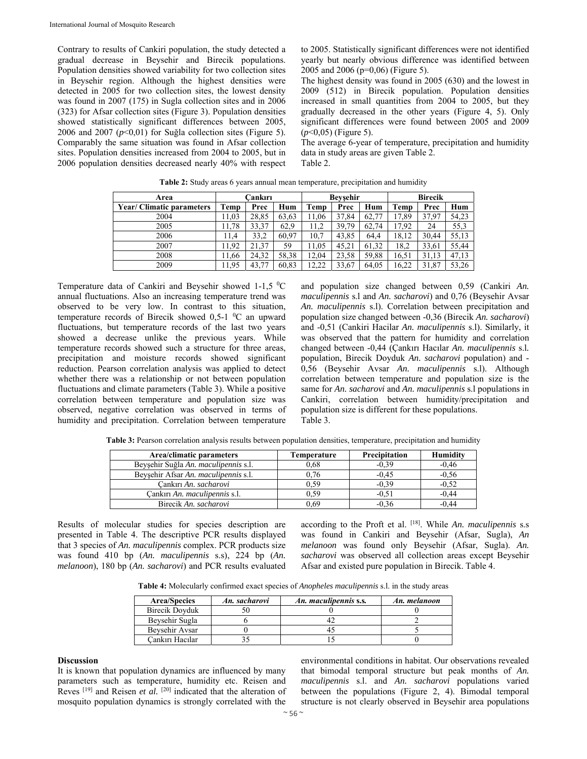Contrary to results of Cankiri population, the study detected a gradual decrease in Beysehir and Birecik populations. Population densities showed variability for two collection sites in Beysehir region. Although the highest densities were detected in 2005 for two collection sites, the lowest density was found in 2007 (175) in Sugla collection sites and in 2006 (323) for Afsar collection sites (Figure 3). Population densities showed statistically significant differences between 2005, 2006 and 2007  $(p<0,01)$  for Suğla collection sites (Figure 5). Comparably the same situation was found in Afsar collection sites. Population densities increased from 2004 to 2005, but in 2006 population densities decreased nearly 40% with respect

to 2005. Statistically significant differences were not identified yearly but nearly obvious difference was identified between 2005 and 2006 (p=0,06) (Figure 5).

The highest density was found in 2005 (630) and the lowest in 2009 (512) in Birecik population. Population densities increased in small quantities from 2004 to 2005, but they gradually decreased in the other years (Figure 4, 5). Only significant differences were found between 2005 and 2009 (*p*<0,05) (Figure 5).

The average 6-year of temperature, precipitation and humidity data in study areas are given Table 2. Table 2.

| Area                            | Cankırı |       | <b>Beysehir</b> |       |       | <b>Birecik</b> |       |       |       |
|---------------------------------|---------|-------|-----------------|-------|-------|----------------|-------|-------|-------|
| <b>Year/Climatic parameters</b> | Temp    | Prec  | Hum             | Temp  | Prec  | Hum            | Temp  | Prec  | Hum   |
| 2004                            | 1.03    | 28,85 | 63.63           | 11.06 | 37.84 | 62.77          | 17,89 | 37.97 | 54,23 |
| 2005                            | 1.78    | 33,37 | 62,9            | 11,2  | 39.79 | 62,74          | 17,92 | 24    | 55,3  |
| 2006                            | 11,4    | 33,2  | 60,97           | 10,7  | 43,85 | 64.4           | 18,12 | 30.44 | 55,13 |
| 2007                            | 1.92    | 21,37 | 59              | 11,05 | 45.21 | 61,32          | 18,2  | 33,61 | 55,44 |
| 2008                            | 1.66    | 24.32 | 58.38           | 12.04 | 23,58 | 59.88          | 16,51 | 31.13 | 47,13 |
| 2009                            | 1.95    | 43,77 | 60.83           | 12.22 | 33,67 | 64.05          | 16,22 | 31,87 | 53,26 |

**Table 2:** Study areas 6 years annual mean temperature, precipitation and humidity

Temperature data of Cankiri and Beysehir showed  $1-1,5$  °C annual fluctuations. Also an increasing temperature trend was observed to be very low. In contrast to this situation, temperature records of Birecik showed  $0.5$ -1  $\mathrm{^0C}$  an upward fluctuations, but temperature records of the last two years showed a decrease unlike the previous years. While temperature records showed such a structure for three areas, precipitation and moisture records showed significant reduction. Pearson correlation analysis was applied to detect whether there was a relationship or not between population fluctuations and climate parameters (Table 3). While a positive correlation between temperature and population size was observed, negative correlation was observed in terms of humidity and precipitation. Correlation between temperature and population size changed between 0,59 (Cankiri *An. maculipennis* s.l and *An. sacharovi*) and 0,76 (Beysehir Avsar *An. maculipennis* s.l). Correlation between precipitation and population size changed between -0,36 (Birecik *An. sacharovi*) and -0,51 (Cankiri Hacilar *An. maculipennis* s.l). Similarly, it was observed that the pattern for humidity and correlation changed between -0,44 (Çankırı Hacılar *An. maculipennis* s.l*.*  population, Birecik Doyduk *An. sacharovi* population) and - 0,56 (Beysehir Avsar *An. maculipennis* s.l). Although correlation between temperature and population size is the same for *An. sacharovi* and *An. maculipennis* s.l populations in Cankiri, correlation between humidity/precipitation and population size is different for these populations. Table 3.

| Table 3: Pearson correlation analysis results between population densities, temperature, precipitation and humidity |
|---------------------------------------------------------------------------------------------------------------------|
|---------------------------------------------------------------------------------------------------------------------|

| Area/climatic parameters             | Temperature | Precipitation | Humidity |  |
|--------------------------------------|-------------|---------------|----------|--|
| Beyşehir Suğla An. maculipennis s.l. | 0.68        | $-0.39$       | $-0.46$  |  |
| Beysehir Afsar An. maculipennis s.l. | 1.76        | $-0.45$       | $-0.56$  |  |
| Cankırı An. sacharovi                | 1.59        | $-0.39$       | $-0.52$  |  |
| Cankırı An. maculipennis s.l.        | 59ء         | $-0.51$       | $-0.44$  |  |
| Birecik An. sacharovi                | .).69       | $-0.36$       | -0.44    |  |

Results of molecular studies for species description are presented in Table 4. The descriptive PCR results displayed that 3 species of *An. maculipennis* complex. PCR products size was found 410 bp (*An. maculipennis* s.s), 224 bp (*An. melanoon*), 180 bp (*An. sacharovi*) and PCR results evaluated

according to the Proft et al. [18]. While *An. maculipennis* s.s was found in Cankiri and Beysehir (Afsar, Sugla), *An melanoon* was found only Beysehir (Afsar, Sugla). *An. sacharovi* was observed all collection areas except Beysehir Afsar and existed pure population in Birecik. Table 4.

**Table 4:** Molecularly confirmed exact species of *Anopheles maculipennis* s.l. in the study areas

| <b>Area/Species</b>   | An. sacharovi | An. maculipennis s.s. | An. melanoon |
|-----------------------|---------------|-----------------------|--------------|
| <b>Birecik Doyduk</b> |               |                       |              |
| Beysehir Sugla        |               |                       |              |
| Beysehir Aysar        |               |                       |              |
| Cankırı Hacılar       |               |                       |              |

### **Discussion**

It is known that population dynamics are influenced by many parameters such as temperature, humidity etc. Reisen and Reves [19] and Reisen *et al.* [20] indicated that the alteration of mosquito population dynamics is strongly correlated with the

environmental conditions in habitat. Our observations revealed that bimodal temporal structure but peak months of *An. maculipennis* s.l. and *An. sacharovi* populations varied between the populations (Figure 2, 4). Bimodal temporal structure is not clearly observed in Beysehir area populations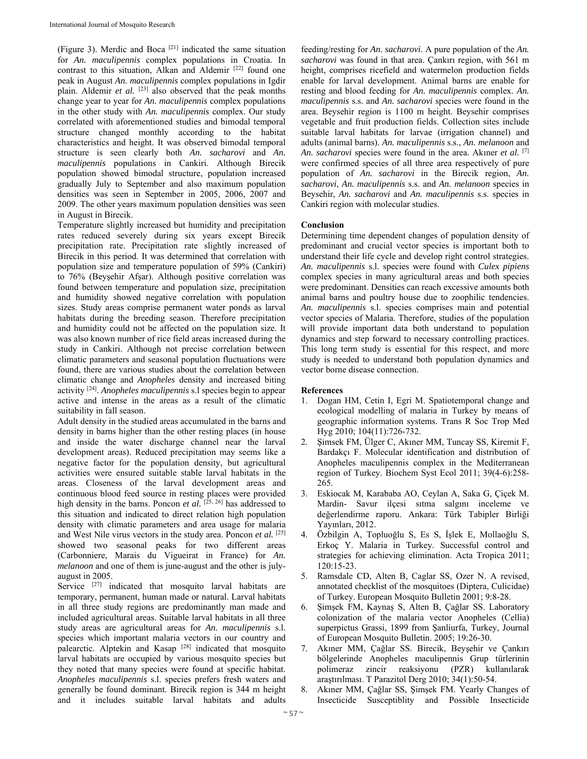(Figure 3). Merdic and Boca [21] indicated the same situation for *An. maculipennis* complex populations in Croatia. In contrast to this situation, Alkan and Aldemir<sup>[22]</sup> found one peak in August *An. maculipennis* complex populations in Igdir plain. Aldemir *et al.* <sup>[23]</sup> also observed that the peak months change year to year for *An. maculipennis* complex populations in the other study with *An. maculipennis* complex. Our study correlated with aforementioned studies and bimodal temporal structure changed monthly according to the habitat characteristics and height. It was observed bimodal temporal structure is seen clearly both *An. sacharovi* and *An. maculipennis* populations in Cankiri. Although Birecik population showed bimodal structure, population increased gradually July to September and also maximum population densities was seen in September in 2005, 2006, 2007 and 2009. The other years maximum population densities was seen in August in Birecik.

Temperature slightly increased but humidity and precipitation rates reduced severely during six years except Birecik precipitation rate. Precipitation rate slightly increased of Birecik in this period. It was determined that correlation with population size and temperature population of 59% (Cankiri) to 76% (Beyşehir Afşar). Although positive correlation was found between temperature and population size, precipitation and humidity showed negative correlation with population sizes. Study areas comprise permanent water ponds as larval habitats during the breeding season. Therefore precipitation and humidity could not be affected on the population size. It was also known number of rice field areas increased during the study in Cankiri. Although not precise correlation between climatic parameters and seasonal population fluctuations were found, there are various studies about the correlation between climatic change and *Anopheles* density and increased biting activity [24]. *Anopheles maculipennis* s.l species begin to appear active and intense in the areas as a result of the climatic suitability in fall season.

Adult density in the studied areas accumulated in the barns and density in barns higher than the other resting places (in house and inside the water discharge channel near the larval development areas). Reduced precipitation may seems like a negative factor for the population density, but agricultural activities were ensured suitable stable larval habitats in the areas. Closeness of the larval development areas and continuous blood feed source in resting places were provided high density in the barns. Poncon *et al.* [25, 26] has addressed to this situation and indicated to direct relation high population density with climatic parameters and area usage for malaria and West Nile virus vectors in the study area. Poncon *et al.* [25] showed two seasonal peaks for two different areas (Carbonniere, Marais du Vigueirat in France) for *An. melanoon* and one of them is june-august and the other is julyaugust in 2005.

Service <sup>[27]</sup> indicated that mosquito larval habitats are temporary, permanent, human made or natural. Larval habitats in all three study regions are predominantly man made and included agricultural areas. Suitable larval habitats in all three study areas are agricultural areas for *An. maculipennis* s.l. species which important malaria vectors in our country and palearctic. Alptekin and Kasap<sup>[28]</sup> indicated that mosquito larval habitats are occupied by various mosquito species but they noted that many species were found at specific habitat. *Anopheles maculipennis* s.l. species prefers fresh waters and generally be found dominant. Birecik region is 344 m height and it includes suitable larval habitats and adults

feeding/resting for *An. sacharovi*. A pure population of the *An. sacharovi* was found in that area. Çankırı region, with 561 m height, comprises ricefield and watermelon production fields enable for larval development. Animal barns are enable for resting and blood feeding for *An. maculipennis* complex. *An. maculipennis* s.s. and *An. sacharovi* species were found in the area. Beysehir region is 1100 m height. Beysehir comprises vegetable and fruit production fields. Collection sites include suitable larval habitats for larvae (irrigation channel) and adults (animal barns). *An. maculipennis* s.s., *An. melanoon* and *An. sacharovi* species were found in the area. Akıner *et al.* [7] were confirmed species of all three area respectively of pure population of *An. sacharovi* in the Birecik region, *An. sacharovi*, *An. maculipennis* s.s. and *An. melanoon* species in Beysehir, *An. sacharovi* and *An. maculipennis* s.s. species in Cankiri region with molecular studies.

### **Conclusion**

Determining time dependent changes of population density of predominant and crucial vector species is important both to understand their life cycle and develop right control strategies. *An. maculipennis* s.l. species were found with *Culex pipiens* complex species in many agricultural areas and both species were predominant. Densities can reach excessive amounts both animal barns and poultry house due to zoophilic tendencies. *An. maculipennis* s.l. species comprises main and potential vector species of Malaria. Therefore, studies of the population will provide important data both understand to population dynamics and step forward to necessary controlling practices. This long term study is essential for this respect, and more study is needed to understand both population dynamics and vector borne disease connection.

### **References**

- 1. Dogan HM, Cetin I, Egri M. Spatiotemporal change and ecological modelling of malaria in Turkey by means of geographic information systems. Trans R Soc Trop Med Hyg 2010; 104(11):726-732.
- 2. Şimsek FM, Ülger C, Akıner MM, Tuncay SS, Kiremit F, Bardakçı F. Molecular identification and distribution of Anopheles maculipennis complex in the Mediterranean region of Turkey. Biochem Syst Ecol 2011; 39(4-6):258- 265.
- 3. Eskiocak M, Karababa AO, Ceylan A, Saka G, Çiçek M. Mardin- Savur ilçesi sıtma salgını inceleme ve değerlendirme raporu. Ankara: Türk Tabipler Birliği Yayınları, 2012.
- 4. Özbilgin A, Topluoğlu S, Es S, İşlek E, Mollaoğlu S, Erkoç Y. Malaria in Turkey. Successful control and strategies for achieving elimination. Acta Tropica 2011; 120:15-23.
- 5. Ramsdale CD, Alten B, Caglar SS, Ozer N. A revised, annotated checklist of the mosquitoes (Diptera, Culicidae) of Turkey. European Mosquito Bulletin 2001; 9:8-28.
- 6. Şimşek FM, Kaynaş S, Alten B, Çağlar SS. Laboratory colonization of the malaria vector Anopheles (Cellia) superpictus Grassi, 1899 from Şanliurfa, Turkey, Journal of European Mosquito Bulletin. 2005; 19:26-30.
- 7. Akıner MM, Çağlar SS. Birecik, Beyşehir ve Çankırı bölgelerinde Anopheles maculipennis Grup türlerinin polimeraz zincir reaksiyonu (PZR) kullanılarak araştırılması. T Parazitol Derg 2010; 34(1):50-54.
- 8. Akıner MM, Çağlar SS, Şimşek FM. Yearly Changes of Insecticide Susceptiblity and Possible Insecticide